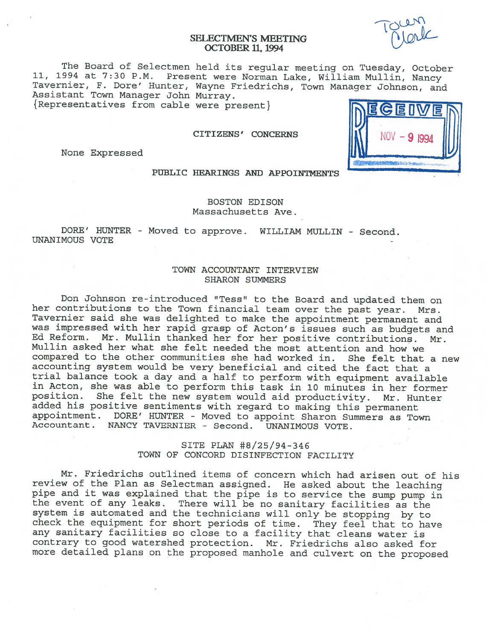## SELECTMEN'S MEETING OCTOBER II, 1994

The Board of Selectmen held its regular meeting on Tuesday, October 11, <sup>1994</sup> at 7:30 P.M. Present were Norman Lake, William Mullin, Nancy Tavernier, F. Dore' Hunter, Wayne Friedrichs, Town Manager Johnson, and Assistant Town Manager John Murray. {Representatives from cable were present}

CITIZENS' CONCERNS

None Expressed



## PUBLIC HEARINGS AND APPOINTMENTS

BOSTON EDISON Massachusetts Ave.

DORE' HUNTER - Moved to approve. WILLIAM MULLIN - Second. UNANIMOUS VOTE

# TOWN ACCOUNTANT INTERVIEW SHARON SUNMERS

Don Johnson re-introduced "Tess" to the Board and updated them on her contributions to the Town financial team over the past year. Mrs. Tavernier said she was delighted to make the appointment permanent and was impressed with her rapid grasp of Acton's issues such as budgets and Ed Reform. Mr. Mullin thanked her for her positive contributions. Mr. Mullin asked her what she felt needed the most attention and how we compared to the other communities she had worked in. She felt that <sup>a</sup> new accounting system would be very beneficial and cited the fact that <sup>a</sup> trial balance took <sup>a</sup> day and <sup>a</sup> half to perform with equipment available in Acton, she was able to perform this task in <sup>10</sup> minutes in her former position. She felt the new system would aid productivity. Mr. Hunter added his positive sentiments with regard to making this permanent appointment. DORE' HUNTER - Moved to appoint Sharon Summers as Town Accountant. NANCY TAVERNIER - Second. UNANIMOUS VOTE.

> SITE PLAN #8/25/94-346 TOWN OF CONCORD DISINFECTION FACILITY

Mr. Friedrichs outlined items of concern which had arisen out of his review of the Plan as Selectman assigned. He asked about the leaching<br>pipe and it was explained that the pipe is to service the sump pump in the event of any leaks. There will be no sanitary facilities as the system is automated and the technicians will only be stopping by to check the equipment for short periods of time. They feel that to have any sanitary facilities so close to <sup>a</sup> facility that cleans water is contrary to good watershed protection. Mr. Friedrichs also asked for more detailed <sup>p</sup>lans on the proposed manhole and culvert on the proposed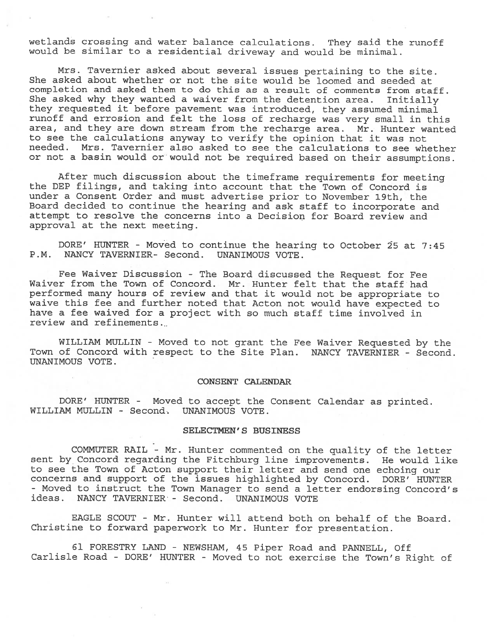wetlands crossing and water balance calculations. They said the runoff would be similar to <sup>a</sup> residential driveway and would be minimal.

Mrs. Tavernier asked about several issues pertaining to the site. She asked about whether or not the site would be loomed and seeded at completion and asked them to do this as <sup>a</sup> result of comments from staff. She asked why they wanted <sup>a</sup> waiver from the detention area. Initially they requested it before pavemen<sup>t</sup> was introduced, they assumed minimal runoff and errosion and felt the loss of recharge was very small in this area, and they are down stream from the recharge area. Mr. Hunter wanted to see the calculations anyway to verify the opinion that it was not needed. Mrs. Tavernier also asked to see the calculations to see whether or not <sup>a</sup> basin would or would not be required based on their assumptions.

After much discussion about the timeframe requirements for meeting the DEP filings, and taking into account that the Town of Concord is under <sup>a</sup> Consent Order and must advertise prior to November 19th, the Board decided to continue the hearing and ask staff to incorporate and attempt to resolve the concerns into <sup>a</sup> Decision for Board review and approval at the next meeting.

DORE' HUNTER - Moved to continue the hearing to October 25 at 7:45 P.M. NANCY TAVERNIER- Second. UNANIMOUS VOTE.

Fee Waiver Discussion - The Board discussed the Request for Fee Waiver from the Town of Concord. Mr. Hunter felt that the staff had performed many hours of review and that it would not be appropriate to waive this fee and further noted that Acton not would have expected to have <sup>a</sup> fee waived for <sup>a</sup> project with so much staff time involved in review and refinements...

WILLIAM MULLIN - Moved to not gran<sup>t</sup> the Fee Waiver Requested by the Town of Concord with respec<sup>t</sup> to the Site Plan. NANCY TAVERNIER - Second. UNANIMOUS VOTE.

#### CONSENT CALENDAR

DORE' HUNTER - Moved to accep<sup>t</sup> the Consent Calendar as printed. WILLIAM MULLIN - Second. UNANIMOUS VOTE.

### SELECTMEN'S BUSINESS

COMMUTER RAIL - Mr. Hunter commented on the quality of the letter sent by Concord regarding the Fitchburg line improvements. He would like to see the Town of Acton suppor<sup>t</sup> their letter and send one echoing our concerns and suppor<sup>t</sup> of the issues highlighted by Concord. BORE' HUNTER - Moved to instruct the Town Manager to send <sup>a</sup> letter endorsing Concord's ideas. NANCY TAVERNIER - Second. UNANIMOUS VOTE

EAGLE SCOUT - Mr. Hunter will attend both on behalf of the Board. Christine to forward paperwor<sup>k</sup> to Mr. Hunter for presentation.

61 FORESTRY LAND - NEWSHAM, 45 Piper Road and PANNELL, Off Carlisle Road - BORE' HUNTER - Moved to not exercise the Town's Right of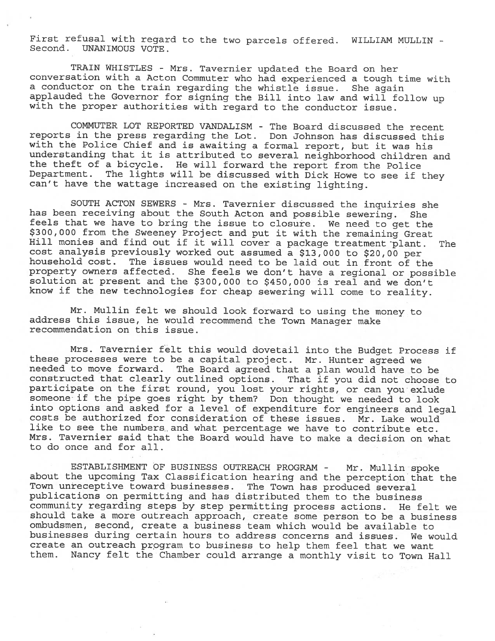First refusal with regard to the two parcels offered. WILLIAM MULLIN - Second. UNANIMOUS VOTE.

TRAIN WHISTLES - Mrs. Tavernier updated the Board on her conversation with <sup>a</sup> Acton Commuter who had experienced <sup>a</sup> tough time with a conductor on the train regarding the whistle issue. She again<br>applauded the Governor for signing the Bill into law and will follow up with the proper authorities with regard to the conductor issue.

COMMUTER LOT REPORTED VANDALISM - The Board discussed the recent reports in the press regarding the Lot. Don Johnson has discussed this with the Police Chief and is awaiting <sup>a</sup> formal report, but it was his understanding that it is attributed to several neighborhood children and the theft of <sup>a</sup> bicycle. He will forward the report from the Police Department. The lights will be discussed with Dick Howe to see if they can't have the wattage increased on the existing lighting.

SOUTH ACTON SEWERS - Mrs. Tavernier discussed the inquiries she has been receiving about the South Acton and possible sewering. She feels that we have to bring the issue to closure. We need to get the \$300,000 from the Sweeney Project and put it with the remaining Great Hill monies and find out if it will cover a package treatment plant. The cost analysis previously worked out assumed a \$13,000 to \$20,00 per household cost. The issues would need to be laid out in front of the property owners affected. She feels we don't have a regional or possible solution at present and the \$300,000 to \$450,000 is real and we don't know if the new technologies for cheap sewering will come to reality.

Mr. Mullin felt we should look forward to using the money to address this issue, he would recommend the Town Manager make recommendation on this issue.

Mrs. Tavernier felt this would dovetail into the Budget Process if these processes were to be <sup>a</sup> capital project. Mr. Hunter agreed we needed to move forward. The Board agreed that <sup>a</sup> plan would have to be constructed that clearly outlined options. That if you did not choose to participate on the first round, you lost your rights, or can you exlude someone if the <sup>p</sup>ipe goes right by them? Don thought we needed to look into options and asked for <sup>a</sup> level of expenditure for engineers and legal costs be authorized for consideration of these issues. Mr. Lake would like to see the numbers and what percentage we have to contribute etc. Mrs. Tavernier said that the Board would have to make <sup>a</sup> decision on what to do once and for all.

ESTABLISHMENT OF BUSINESS OUTREACH PROGRAM - Mr. Mullin spoke about the upcoming Tax Classification hearing and the perception that the Town unreceptive toward businesses. The Town has produced several publications on permitting and has distributed them to the business community regarding steps by step permitting process actions. He felt we should take <sup>a</sup> more outreach approach, create some person to be <sup>a</sup> business ombudsmen, second, create <sup>a</sup> business team which would be available to businesses during certain hours to address concerns and issues. We would create an outreach program to business to help them feel that we want them. Nancy felt the Chamber could arrange <sup>a</sup> monthly visit to Town Hall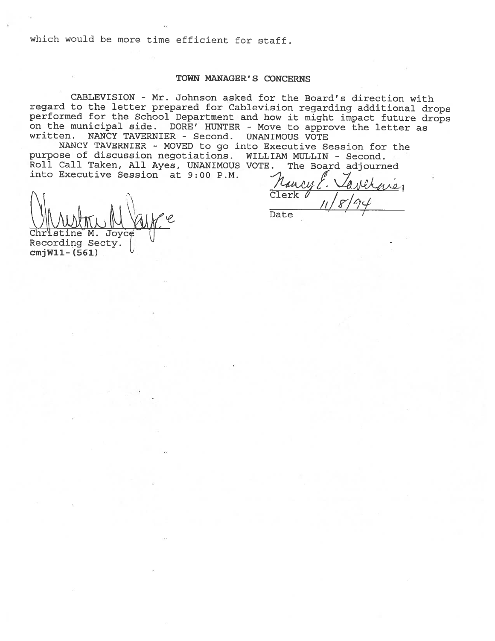which would be more time efficient for staff.

#### TOWN MANAGER' S CONCERNS

CABLEVISION - Mr. Johnson asked for the Board's direction with regard to the letter prepared for Cablevision regarding additional drops performed for the School Department and how it might impact future drops on the municipal side. DORE' HUNTER - Move to approve the letter as written. NANCY TAVERNIER - Second. UNANIMOUS VOTE

NANCY TAVERNIER - MOVED to go into Executive Session for the purpose of discussion negotiations. WILLIAM MULLIN - Second. Roll Call Taken, All Ayes, UNANIMOUS VOTE. The Board adjourned into Executive Session at  $9:00$  P.M.

 $\ell u$ Mancyl. Varchener  $\theta$  /  $11/8/94$ Date<sup>1</sup>

M. Joyce Recording Secty.  $cmjW11 - (561)$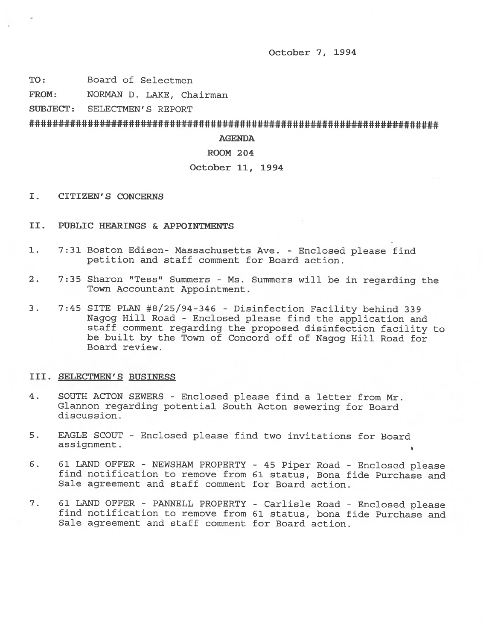October 7, 1994

TO: Board of Selectmen

FROM: NORMAN D. LAKE, Chairman

SUBJECT: SELECTMEN'S REPORT

# ######################################################################

AGENDA

### ROOM 204

### October 11, 1994

- I. CITIZEN'S CONCERNS
- II. PUBLIC HEARINGS & APPOINTMENTS
- 1. 7:31 Boston Edison- Massachusetts Ave. Enclosed <sup>p</sup>lease find petition and staff comment for Board action.
- 2. 7:35 Sharon "Tess" Summers Ms. Summers will be in regarding the Town Accountant Appointment.
- 3. 7:45 SITE PLAN #8/25/94-346 Disinfection Facility behind 339 Nagog Hill Road - Enclosed <sup>p</sup>lease find the application and staff comment regarding the proposed disinfection facility to be built by the Town of Concord off of Nagog Hill Road for Board review.

#### III. SELECTMEN'S BUSINESS

- 4. SOUTH ACTON SEWERS Enclosed <sup>p</sup>lease find <sup>a</sup> letter from Mr. Glannon regarding potential South Acton sewering for Board discussion.
- 5. EAGLE SCOUT -Enclosed please find two invitations for Board assignment.
- 6. 61 LAND OFFER NEWSHAM PROPERTY 45 Piper Road Enclosed please find notification to remove from 61 status, Bona fide Purchase and Sale agreement and staff comment for Board action.
- 7. <sup>61</sup> LAND OFFER PANNELL PROPERTY Carlisle Road Enclosed <sup>p</sup>lease find notification to remove from 61 status, bona fide Purchase and Sale agreement and staff comment for Board action.